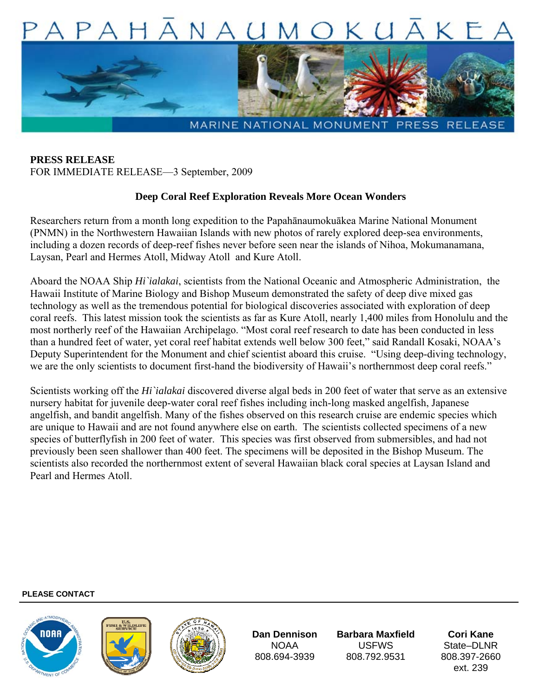

**PRESS RELEASE**  FOR IMMEDIATE RELEASE—3 September, 2009

## **Deep Coral Reef Exploration Reveals More Ocean Wonders**

Researchers return from a month long expedition to the Papahānaumokuākea Marine National Monument (PNMN) in the Northwestern Hawaiian Islands with new photos of rarely explored deep-sea environments, including a dozen records of deep-reef fishes never before seen near the islands of Nihoa, Mokumanamana, Laysan, Pearl and Hermes Atoll, Midway Atoll and Kure Atoll.

Aboard the NOAA Ship *Hi`ialakai*, scientists from the National Oceanic and Atmospheric Administration, the Hawaii Institute of Marine Biology and Bishop Museum demonstrated the safety of deep dive mixed gas technology as well as the tremendous potential for biological discoveries associated with exploration of deep coral reefs. This latest mission took the scientists as far as Kure Atoll, nearly 1,400 miles from Honolulu and the most northerly reef of the Hawaiian Archipelago. "Most coral reef research to date has been conducted in less than a hundred feet of water, yet coral reef habitat extends well below 300 feet," said Randall Kosaki, NOAA's Deputy Superintendent for the Monument and chief scientist aboard this cruise. "Using deep-diving technology, we are the only scientists to document first-hand the biodiversity of Hawaii's northernmost deep coral reefs."

Scientists working off the *Hi`ialakai* discovered diverse algal beds in 200 feet of water that serve as an extensive nursery habitat for juvenile deep-water coral reef fishes including inch-long masked angelfish, Japanese angelfish, and bandit angelfish. Many of the fishes observed on this research cruise are endemic species which are unique to Hawaii and are not found anywhere else on earth. The scientists collected specimens of a new species of butterflyfish in 200 feet of water. This species was first observed from submersibles, and had not previously been seen shallower than 400 feet. The specimens will be deposited in the Bishop Museum. The scientists also recorded the northernmost extent of several Hawaiian black coral species at Laysan Island and Pearl and Hermes Atoll.

## **PLEASE CONTACT**







**Dan Dennison**  NOAA 808.694-3939

**Barbara Maxfield**  USFWS 808.792.9531

**Cori Kane**  State–DI<sub>NR</sub> 808.397-2660 ext. 239